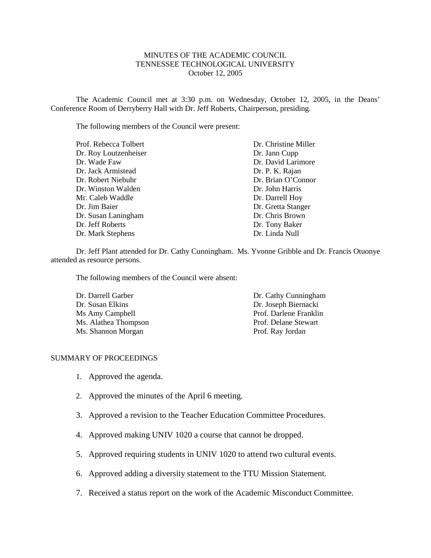#### MINUTES OF THE ACADEMIC COUNCIL TENNESSEE TECHNOLOGICAL UNIVERSITY October 12, 2005

The Academic Council met at 3:30 p.m. on Wednesday, October 12, 2005, in the Deans' Conference Room of Derryberry Hall with Dr. Jeff Roberts, Chairperson, presiding.

The following members of the Council were present:

| Prof. Rebecca Tolbert | Dr. Christine Miller |
|-----------------------|----------------------|
| Dr. Roy Loutzenheiser | Dr. Jann Cupp        |
| Dr. Wade Faw          | Dr. David Larimore   |
| Dr. Jack Armistead    | Dr. P. K. Rajan      |
| Dr. Robert Niebuhr    | Dr. Brian O'Connor   |
| Dr. Winston Walden    | Dr. John Harris      |
| Mr. Caleb Waddle      | Dr. Darrell Hoy      |
| Dr. Jim Baier         | Dr. Gretta Stanger   |
| Dr. Susan Laningham   | Dr. Chris Brown      |
| Dr. Jeff Roberts      | Dr. Tony Baker       |
| Dr. Mark Stephens     | Dr. Linda Null       |

Dr. Jeff Plant attended for Dr. Cathy Cunningham. Ms. Yvonne Gribble and Dr. Francis Otuonye attended as resource persons.

The following members of the Council were absent:

| Dr. Darrell Garber   | Dr. Cathy Cunningham   |
|----------------------|------------------------|
| Dr. Susan Elkins     | Dr. Joseph Biernacki   |
| Ms Amy Campbell      | Prof. Darlene Franklin |
| Ms. Alathea Thompson | Prof. Delane Stewart   |
| Ms. Shannon Morgan   | Prof. Ray Jordan       |

#### SUMMARY OF PROCEEDINGS

- 1. Approved the agenda.
- 2. Approved the minutes of the April 6 meeting.
- 3. Approved a revision to the Teacher Education Committee Procedures.
- 4. Approved making UNIV 1020 a course that cannot be dropped.
- 5. Approved requiring students in UNIV 1020 to attend two cultural events.
- 6. Approved adding a diversity statement to the TTU Mission Statement.
- 7. Received a status report on the work of the Academic Misconduct Committee.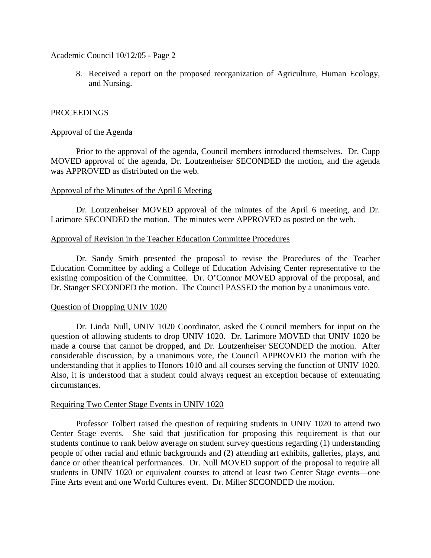Academic Council 10/12/05 - Page 2

8. Received a report on the proposed reorganization of Agriculture, Human Ecology, and Nursing.

## PROCEEDINGS

### Approval of the Agenda

Prior to the approval of the agenda, Council members introduced themselves. Dr. Cupp MOVED approval of the agenda, Dr. Loutzenheiser SECONDED the motion, and the agenda was APPROVED as distributed on the web.

## Approval of the Minutes of the April 6 Meeting

Dr. Loutzenheiser MOVED approval of the minutes of the April 6 meeting, and Dr. Larimore SECONDED the motion. The minutes were APPROVED as posted on the web.

### Approval of Revision in the Teacher Education Committee Procedures

Dr. Sandy Smith presented the proposal to revise the Procedures of the Teacher Education Committee by adding a College of Education Advising Center representative to the existing composition of the Committee. Dr. O'Connor MOVED approval of the proposal, and Dr. Stanger SECONDED the motion. The Council PASSED the motion by a unanimous vote.

### Question of Dropping UNIV 1020

Dr. Linda Null, UNIV 1020 Coordinator, asked the Council members for input on the question of allowing students to drop UNIV 1020. Dr. Larimore MOVED that UNIV 1020 be made a course that cannot be dropped, and Dr. Loutzenheiser SECONDED the motion. After considerable discussion, by a unanimous vote, the Council APPROVED the motion with the understanding that it applies to Honors 1010 and all courses serving the function of UNIV 1020. Also, it is understood that a student could always request an exception because of extenuating circumstances.

### Requiring Two Center Stage Events in UNIV 1020

Professor Tolbert raised the question of requiring students in UNIV 1020 to attend two Center Stage events. She said that justification for proposing this requirement is that our students continue to rank below average on student survey questions regarding (1) understanding people of other racial and ethnic backgrounds and (2) attending art exhibits, galleries, plays, and dance or other theatrical performances. Dr. Null MOVED support of the proposal to require all students in UNIV 1020 or equivalent courses to attend at least two Center Stage events—one Fine Arts event and one World Cultures event. Dr. Miller SECONDED the motion.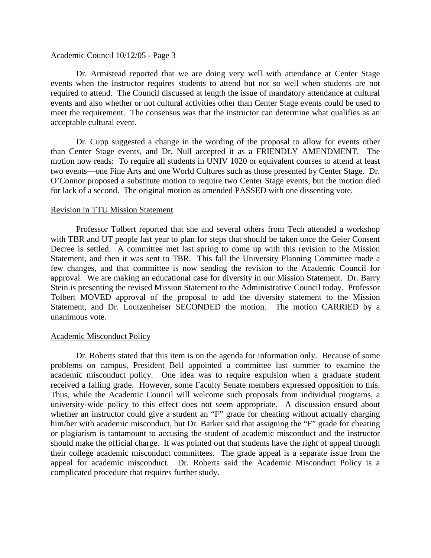#### Academic Council 10/12/05 - Page 3

Dr. Armistead reported that we are doing very well with attendance at Center Stage events when the instructor requires students to attend but not so well when students are not required to attend. The Council discussed at length the issue of mandatory attendance at cultural events and also whether or not cultural activities other than Center Stage events could be used to meet the requirement. The consensus was that the instructor can determine what qualifies as an acceptable cultural event.

Dr. Cupp suggested a change in the wording of the proposal to allow for events other than Center Stage events, and Dr. Null accepted it as a FRIENDLY AMENDMENT. The motion now reads: To require all students in UNIV 1020 or equivalent courses to attend at least two events—one Fine Arts and one World Cultures such as those presented by Center Stage. Dr. O'Connor proposed a substitute motion to require two Center Stage events, but the motion died for lack of a second. The original motion as amended PASSED with one dissenting vote.

#### Revision in TTU Mission Statement

Professor Tolbert reported that she and several others from Tech attended a workshop with TBR and UT people last year to plan for steps that should be taken once the Geier Consent Decree is settled. A committee met last spring to come up with this revision to the Mission Statement, and then it was sent to TBR. This fall the University Planning Committee made a few changes, and that committee is now sending the revision to the Academic Council for approval. We are making an educational case for diversity in our Mission Statement. Dr. Barry Stein is presenting the revised Mission Statement to the Administrative Council today. Professor Tolbert MOVED approval of the proposal to add the diversity statement to the Mission Statement, and Dr. Loutzenheiser SECONDED the motion. The motion CARRIED by a unanimous vote.

### Academic Misconduct Policy

Dr. Roberts stated that this item is on the agenda for information only. Because of some problems on campus, President Bell appointed a committee last summer to examine the academic misconduct policy. One idea was to require expulsion when a graduate student received a failing grade. However, some Faculty Senate members expressed opposition to this. Thus, while the Academic Council will welcome such proposals from individual programs, a university-wide policy to this effect does not seem appropriate. A discussion ensued about whether an instructor could give a student an "F" grade for cheating without actually charging him/her with academic misconduct, but Dr. Barker said that assigning the "F" grade for cheating or plagiarism is tantamount to accusing the student of academic misconduct and the instructor should make the official charge. It was pointed out that students have the right of appeal through their college academic misconduct committees. The grade appeal is a separate issue from the appeal for academic misconduct. Dr. Roberts said the Academic Misconduct Policy is a complicated procedure that requires further study.